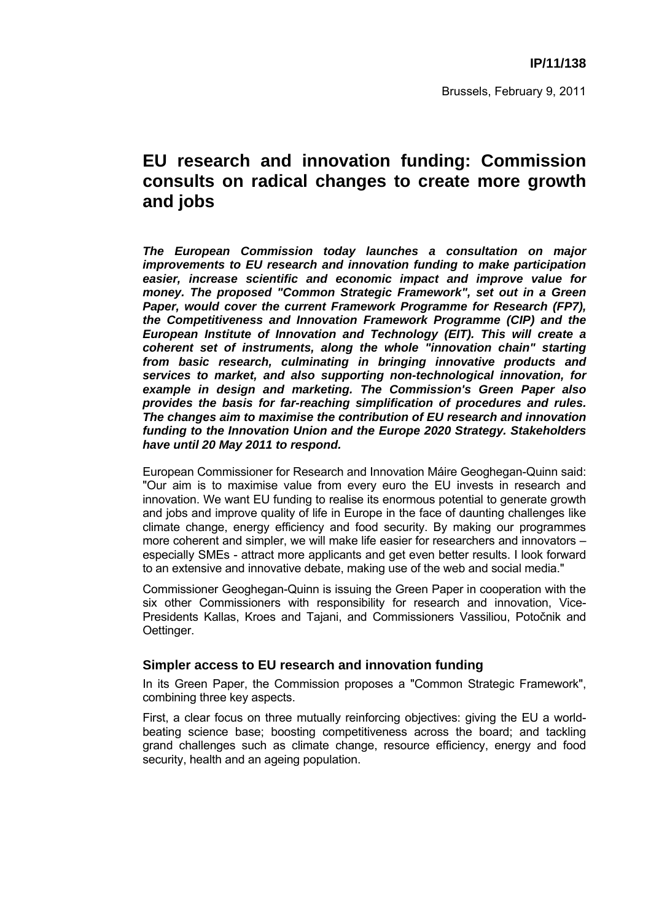# **EU research and innovation funding: Commission consults on radical changes to create more growth and jobs**

*The European Commission today launches a consultation on major improvements to EU research and innovation funding to make participation easier, increase scientific and economic impact and improve value for money. The proposed "Common Strategic Framework", set out in a Green Paper, would cover the current Framework Programme for Research (FP7), the Competitiveness and Innovation Framework Programme (CIP) and the European Institute of Innovation and Technology (EIT). This will create a coherent set of instruments, along the whole "innovation chain" starting from basic research, culminating in bringing innovative products and services to market, and also supporting non-technological innovation, for example in design and marketing. The Commission's Green Paper also provides the basis for far-reaching simplification of procedures and rules. The changes aim to maximise the contribution of EU research and innovation funding to the Innovation Union and the Europe 2020 Strategy. Stakeholders have until 20 May 2011 to respond.* 

European Commissioner for Research and Innovation Máire Geoghegan-Quinn said: "Our aim is to maximise value from every euro the EU invests in research and innovation. We want EU funding to realise its enormous potential to generate growth and jobs and improve quality of life in Europe in the face of daunting challenges like climate change, energy efficiency and food security. By making our programmes more coherent and simpler, we will make life easier for researchers and innovators – especially SMEs - attract more applicants and get even better results. I look forward to an extensive and innovative debate, making use of the web and social media."

Commissioner Geoghegan-Quinn is issuing the Green Paper in cooperation with the six other Commissioners with responsibility for research and innovation, Vice-Presidents Kallas, Kroes and Tajani, and Commissioners Vassiliou, Potočnik and Oettinger.

### **Simpler access to EU research and innovation funding**

In its Green Paper, the Commission proposes a "Common Strategic Framework", combining three key aspects.

First, a clear focus on three mutually reinforcing objectives: giving the EU a worldbeating science base; boosting competitiveness across the board; and tackling grand challenges such as climate change, resource efficiency, energy and food security, health and an ageing population.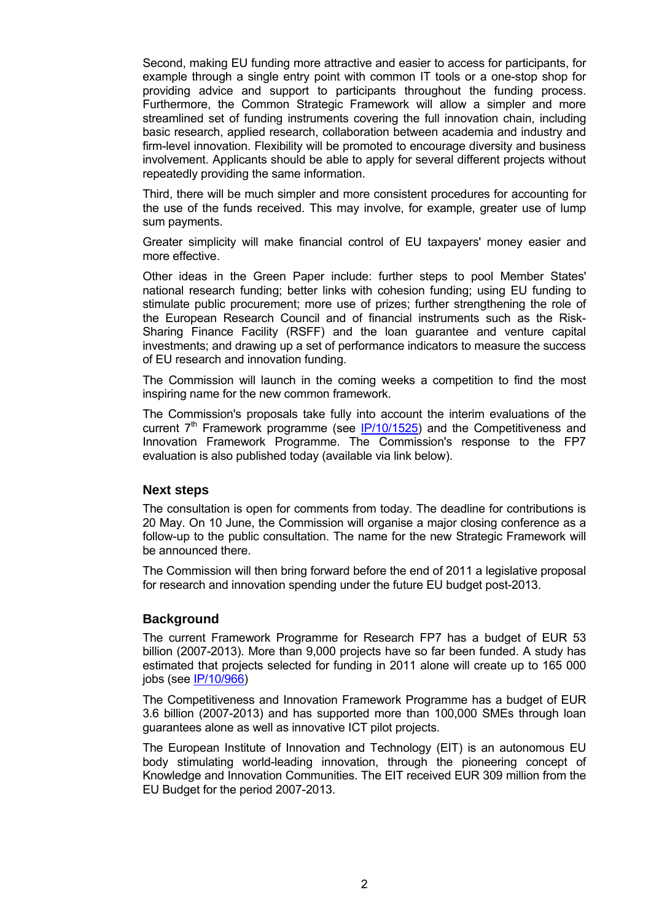Second, making EU funding more attractive and easier to access for participants, for example through a single entry point with common IT tools or a one-stop shop for providing advice and support to participants throughout the funding process. Furthermore, the Common Strategic Framework will allow a simpler and more streamlined set of funding instruments covering the full innovation chain, including basic research, applied research, collaboration between academia and industry and firm-level innovation. Flexibility will be promoted to encourage diversity and business involvement. Applicants should be able to apply for several different projects without repeatedly providing the same information.

Third, there will be much simpler and more consistent procedures for accounting for the use of the funds received. This may involve, for example, greater use of lump sum payments.

Greater simplicity will make financial control of EU taxpayers' money easier and more effective.

Other ideas in the Green Paper include: further steps to pool Member States' national research funding; better links with cohesion funding; using EU funding to stimulate public procurement; more use of prizes; further strengthening the role of the European Research Council and of financial instruments such as the Risk-Sharing Finance Facility (RSFF) and the loan guarantee and venture capital investments; and drawing up a set of performance indicators to measure the success of EU research and innovation funding.

The Commission will launch in the coming weeks a competition to find the most inspiring name for the new common framework.

The Commission's proposals take fully into account the interim evaluations of the current  $7<sup>th</sup>$  Framework programme (see [IP/10/1525\)](http://europa.eu/rapid/pressReleasesAction.do?reference=IP/10/1525&format=HTML&aged=0&language=EN&guiLanguage=fr) and the Competitiveness and Innovation Framework Programme. The Commission's response to the FP7 evaluation is also published today (available via link below).

#### **Next steps**

The consultation is open for comments from today. The deadline for contributions is 20 May. On 10 June, the Commission will organise a major closing conference as a follow-up to the public consultation. The name for the new Strategic Framework will be announced there.

The Commission will then bring forward before the end of 2011 a legislative proposal for research and innovation spending under the future EU budget post-2013.

#### **Background**

The current Framework Programme for Research FP7 has a budget of EUR 53 billion (2007-2013). More than 9,000 projects have so far been funded. A study has estimated that projects selected for funding in 2011 alone will create up to 165 000 jobs (see [IP/10/966\)](http://europa.eu/rapid/pressReleasesAction.do?reference=IP/10/966&format=HTML&aged=1&language=EN&guiLanguage=fr) 

The Competitiveness and Innovation Framework Programme has a budget of EUR 3.6 billion (2007-2013) and has supported more than 100,000 SMEs through loan guarantees alone as well as innovative ICT pilot projects.

The European Institute of Innovation and Technology (EIT) is an autonomous EU body stimulating world-leading innovation, through the pioneering concept of Knowledge and Innovation Communities. The EIT received EUR 309 million from the EU Budget for the period 2007-2013.